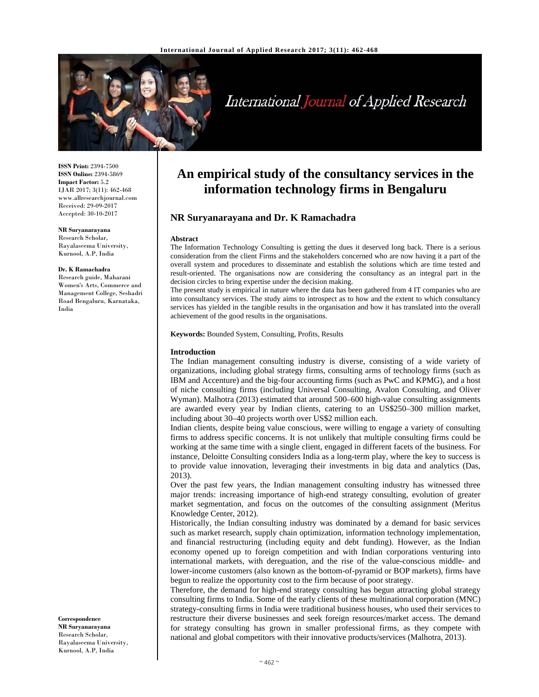

# International Journal of Applied Research

**ISSN Print:** 2394-7500 **ISSN Online:** 2394-5869 **Impact Factor:** 5.2 IJAR 2017; 3(11): 462-468 www.allresearchjournal.com Received: 29-09-2017 Accepted: 30-10-2017

**NR Suryanarayana**  Research Scholar, Rayalaseema University, Kurnool, A.P, India

#### **Dr. K Ramachadra**

Research guide, Maharani Women's Arts, Commerce and Management College, Seshadri Road Bengaluru, Karnataka, India

**Correspondence NR Suryanarayana**  Research Scholar, Rayalaseema University, Kurnool, A.P, India

# **An empirical study of the consultancy services in the information technology firms in Bengaluru**

# **NR Suryanarayana and Dr. K Ramachadra**

#### **Abstract**

The Information Technology Consulting is getting the dues it deserved long back. There is a serious consideration from the client Firms and the stakeholders concerned who are now having it a part of the overall system and procedures to disseminate and establish the solutions which are time tested and result-oriented. The organisations now are considering the consultancy as an integral part in the decision circles to bring expertise under the decision making.

The present study is empirical in nature where the data has been gathered from 4 IT companies who are into consultancy services. The study aims to introspect as to how and the extent to which consultancy services has yielded in the tangible results in the organisation and how it has translated into the overall achievement of the good results in the organisations.

**Keywords:** Bounded System, Consulting, Profits, Results

#### **Introduction**

The Indian management consulting industry is diverse, consisting of a wide variety of organizations, including global strategy firms, consulting arms of technology firms (such as IBM and Accenture) and the big-four accounting firms (such as PwC and KPMG), and a host of niche consulting firms (including Universal Consulting, Avalon Consulting, and Oliver Wyman). Malhotra (2013) estimated that around 500–600 high-value consulting assignments are awarded every year by Indian clients, catering to an US\$250–300 million market, including about 30–40 projects worth over US\$2 million each.

Indian clients, despite being value conscious, were willing to engage a variety of consulting firms to address specific concerns. It is not unlikely that multiple consulting firms could be working at the same time with a single client, engaged in different facets of the business. For instance, Deloitte Consulting considers India as a long-term play, where the key to success is to provide value innovation, leveraging their investments in big data and analytics (Das, 2013).

Over the past few years, the Indian management consulting industry has witnessed three major trends: increasing importance of high-end strategy consulting, evolution of greater market segmentation, and focus on the outcomes of the consulting assignment (Meritus Knowledge Center, 2012).

Historically, the Indian consulting industry was dominated by a demand for basic services such as market research, supply chain optimization, information technology implementation, and financial restructuring (including equity and debt funding). However, as the Indian economy opened up to foreign competition and with Indian corporations venturing into international markets, with dereguation, and the rise of the value-conscious middle- and lower-income customers (also known as the bottom-of-pyramid or BOP markets), firms have begun to realize the opportunity cost to the firm because of poor strategy.

Therefore, the demand for high-end strategy consulting has begun attracting global strategy consulting firms to India. Some of the early clients of these multinational corporation (MNC) strategy-consulting firms in India were traditional business houses, who used their services to restructure their diverse businesses and seek foreign resources/market access. The demand for strategy consulting has grown in smaller professional firms, as they compete with national and global competitors with their innovative products/services (Malhotra, 2013).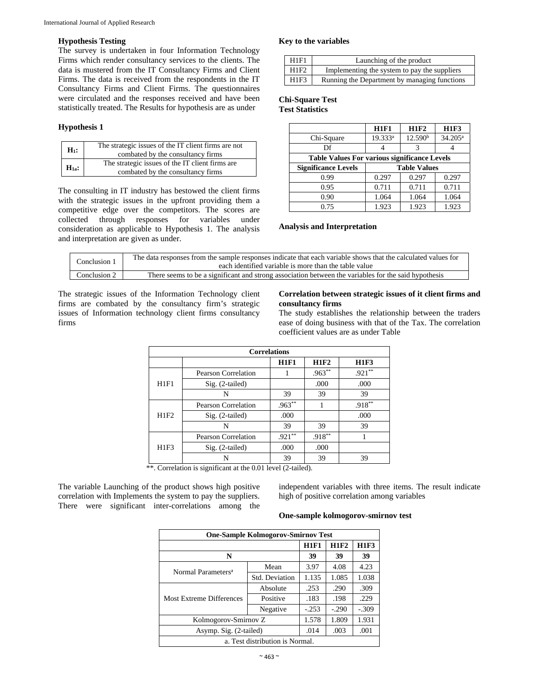#### **Hypothesis Testing**

The survey is undertaken in four Information Technology Firms which render consultancy services to the clients. The data is mustered from the IT Consultancy Firms and Client Firms. The data is received from the respondents in the IT Consultancy Firms and Client Firms. The questionnaires were circulated and the responses received and have been statistically treated. The Results for hypothesis are as under

#### **Hypothesis 1**

| $H_1$ :   | The strategic issues of the IT client firms are not<br>combated by the consultancy firms |
|-----------|------------------------------------------------------------------------------------------|
| $H_{1a}:$ | The strategic issues of the IT client firms are<br>combated by the consultancy firms     |

The consulting in IT industry has bestowed the client firms with the strategic issues in the upfront providing them a competitive edge over the competitors. The scores are collected through responses for variables under consideration as applicable to Hypothesis 1. The analysis and interpretation are given as under.

#### **Key to the variables**

| H1F1 | Launching of the product                     |
|------|----------------------------------------------|
| H1F2 | Implementing the system to pay the suppliers |
| H1F3 | Running the Department by managing functions |

#### **Chi-Square Test Test Statisti**

|  | <b>Test Statistics</b> |  |
|--|------------------------|--|
|  |                        |  |

|                                                     | <b>H1F1</b>         | <b>H1F2</b>         | <b>H1F3</b> |  |  |
|-----------------------------------------------------|---------------------|---------------------|-------------|--|--|
| Chi-Square                                          | 19.333 <sup>a</sup> | 12.590 <sup>b</sup> | $34.205^a$  |  |  |
| Df                                                  |                     |                     |             |  |  |
| <b>Table Values For various significance Levels</b> |                     |                     |             |  |  |
| <b>Significance Levels</b>                          | <b>Table Values</b> |                     |             |  |  |
| 0.99                                                | 0.297               | 0.297               | 0.297       |  |  |
| 0.95                                                | 0.711               | 0.711               | 0.711       |  |  |
| 0.90                                                | 1.064               | 1.064               | 1.064       |  |  |
| 0.75                                                | 1.923               | 1.923               | 1.923       |  |  |

#### **Analysis and Interpretation**

| Conclusion 1    | The data responses from the sample responses indicate that each variable shows that the calculated values for<br>each identified variable is more than the table value |
|-----------------|------------------------------------------------------------------------------------------------------------------------------------------------------------------------|
| Conclusion $21$ | There seems to be a significant and strong association between the variables for the said hypothesis                                                                   |

The strategic issues of the Information Technology client firms are combated by the consultancy firm's strategic issues of Information technology client firms consultancy firms

### **Correlation between strategic issues of it client firms and consultancy firms**

The study establishes the relationship between the traders ease of doing business with that of the Tax. The correlation coefficient values are as under Table

| <b>Correlations</b> |                            |             |             |             |  |
|---------------------|----------------------------|-------------|-------------|-------------|--|
|                     |                            | <b>H1F1</b> | <b>H1F2</b> | <b>H1F3</b> |  |
|                     | <b>Pearson Correlation</b> |             | $.963**$    | $.921**$    |  |
| H1F1                | Sig. (2-tailed)            |             | .000        | .000        |  |
|                     | N                          | 39          | 39          | 39          |  |
|                     | <b>Pearson Correlation</b> | $.963**$    |             | $.918***$   |  |
| H1F2                | Sig. (2-tailed)            | .000        |             | .000        |  |
|                     | N                          | 39          | 39          | 39          |  |
|                     | <b>Pearson Correlation</b> | $.921**$    | $.918***$   |             |  |
| H1F3                | Sig. (2-tailed)            | .000        | .000        |             |  |
|                     | N                          | 39          | 39          | 39          |  |

\*\*. Correlation is significant at the 0.01 level (2-tailed).

The variable Launching of the product shows high positive correlation with Implements the system to pay the suppliers. There were significant inter-correlations among the independent variables with three items. The result indicate high of positive correlation among variables

#### **One-sample kolmogorov-smirnov test**

| <b>One-Sample Kolmogorov-Smirnov Test</b> |                |             |             |             |  |
|-------------------------------------------|----------------|-------------|-------------|-------------|--|
|                                           |                | <b>H1F1</b> | <b>H1F2</b> | <b>H1F3</b> |  |
| N                                         | 39             | 39          | 39          |             |  |
| Normal Parameters <sup>a</sup>            | Mean           | 3.97        | 4.08        | 4.23        |  |
|                                           | Std. Deviation | 1.135       | 1.085       | 1.038       |  |
|                                           | Absolute       | .253        | .290        | .309        |  |
| <b>Most Extreme Differences</b>           | Positive       | .183        | .198        | .229        |  |
|                                           | Negative       | $-253$      | $-.290$     | $-.309$     |  |
| Kolmogorov-Smirnov Z                      | 1.578          | 1.809       | 1.931       |             |  |
| Asymp. Sig. (2-tailed)                    |                | .014        | .003        | .001        |  |
| a. Test distribution is Normal.           |                |             |             |             |  |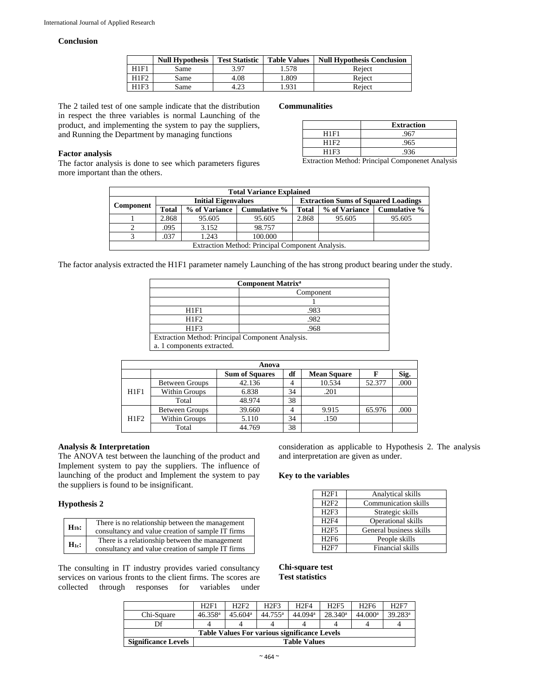#### **Conclusion**

|      | <b>Null Hypothesis</b> | <b>Test Statistic</b> | <b>Table Values</b> | <b>Null Hypothesis Conclusion</b> |
|------|------------------------|-----------------------|---------------------|-----------------------------------|
| H1F1 | Same                   | 3.97                  | 1.578               | Reject                            |
| H1F2 | Same                   | 4.08                  | .809                | Reject                            |
| H1F3 | Same                   | 4.23                  | .931                | Reject                            |

The 2 tailed test of one sample indicate that the distribution in respect the three variables is normal Launching of the product, and implementing the system to pay the suppliers, and Running the Department by managing functions

#### **Factor analysis**

The factor analysis is done to see which parameters figures more important than the others.

**Communalities** 

|                                                              | <b>Extraction</b>                              |
|--------------------------------------------------------------|------------------------------------------------|
| H1F1                                                         | .967                                           |
| H1F <sub>2</sub>                                             | .965                                           |
| H1F3                                                         | .936                                           |
| -<br>$\cdots$<br>$\sim$<br><b>Contract Contract Contract</b> | $\cdots$<br>$\cdot$<br>$\sim$<br>$\sim$ $\sim$ |

Extraction Method: Principal Componenet Analysis

| <b>Total Variance Explained</b> |                                                  |                            |                              |                                            |               |                     |  |
|---------------------------------|--------------------------------------------------|----------------------------|------------------------------|--------------------------------------------|---------------|---------------------|--|
|                                 |                                                  | <b>Initial Eigenvalues</b> |                              | <b>Extraction Sums of Squared Loadings</b> |               |                     |  |
| Component                       | <b>Total</b>                                     |                            | % of Variance   Cumulative % | Total                                      | % of Variance | <b>Cumulative %</b> |  |
|                                 | 2.868                                            | 95.605                     | 95.605                       | 2.868                                      | 95.605        | 95.605              |  |
|                                 | .095                                             | 3.152                      | 98.757                       |                                            |               |                     |  |
|                                 | .037                                             | 1.243                      | 100.000                      |                                            |               |                     |  |
|                                 | Extraction Method: Principal Component Analysis. |                            |                              |                                            |               |                     |  |

The factor analysis extracted the H1F1 parameter namely Launching of the has strong product bearing under the study.

| <b>Component Matrix<sup>a</sup></b>              |           |  |  |  |
|--------------------------------------------------|-----------|--|--|--|
|                                                  | Component |  |  |  |
|                                                  |           |  |  |  |
| H1F1                                             | .983      |  |  |  |
| H1F2                                             | .982      |  |  |  |
| H1F3                                             | .968      |  |  |  |
| Extraction Method: Principal Component Analysis. |           |  |  |  |
| a. 1 components extracted.                       |           |  |  |  |

|      | Anova                 |                       |    |                    |        |      |  |  |
|------|-----------------------|-----------------------|----|--------------------|--------|------|--|--|
|      |                       | <b>Sum of Squares</b> | df | <b>Mean Square</b> |        | Sig. |  |  |
|      | <b>Between Groups</b> | 42.136                |    | 10.534             | 52.377 | .000 |  |  |
| H1F1 | Within Groups         | 6.838                 | 34 | .201               |        |      |  |  |
|      | Total                 | 48.974                | 38 |                    |        |      |  |  |
|      | <b>Between Groups</b> | 39.660                |    | 9.915              | 65.976 | .000 |  |  |
| H1F2 | Within Groups         | 5.110                 | 34 | .150               |        |      |  |  |
|      | Total                 | 44.769                | 38 |                    |        |      |  |  |

#### **Analysis & Interpretation**

The ANOVA test between the launching of the product and Implement system to pay the suppliers. The influence of launching of the product and Implement the system to pay the suppliers is found to be insignificant.

### **Hypothesis 2**

| $H_{1b}$ : | There is no relationship between the management<br>consultancy and value creation of sample IT firms |
|------------|------------------------------------------------------------------------------------------------------|
| $H_{1c}$ : | There is a relationship between the management<br>consultancy and value creation of sample IT firms  |

The consulting in IT industry provides varied consultancy services on various fronts to the client firms. The scores are collected through responses for variables under consideration as applicable to Hypothesis 2. The analysis and interpretation are given as under.

#### **Key to the variables**

| H2F1        | Analytical skills           |
|-------------|-----------------------------|
| H2F2        | <b>Communication skills</b> |
| H2F3        | Strategic skills            |
| <b>H2F4</b> | <b>Operational skills</b>   |
| H2F5        | General business skills     |
| H2F6        | People skills               |
| H2F7        | Financial skills            |

**Chi-square test Test statistics** 

|                                                     | H2F1                  | H2F2                | H2F3             | <b>H2F4</b>         | <b>H2F5</b> | H <sub>2F6</sub>    | H2F7       |  |
|-----------------------------------------------------|-----------------------|---------------------|------------------|---------------------|-------------|---------------------|------------|--|
|                                                     |                       |                     |                  |                     |             |                     |            |  |
| Chi-Square                                          | $46.358$ <sup>a</sup> | 45.604 <sup>a</sup> | $44.755^{\rm a}$ | 44.094 <sup>a</sup> | $28.340^a$  | 44.000 <sup>a</sup> | $39.283^a$ |  |
| Df                                                  |                       |                     |                  |                     |             | 4                   |            |  |
| <b>Table Values For various significance Levels</b> |                       |                     |                  |                     |             |                     |            |  |
| <b>Significance Levels</b>                          | <b>Table Values</b>   |                     |                  |                     |             |                     |            |  |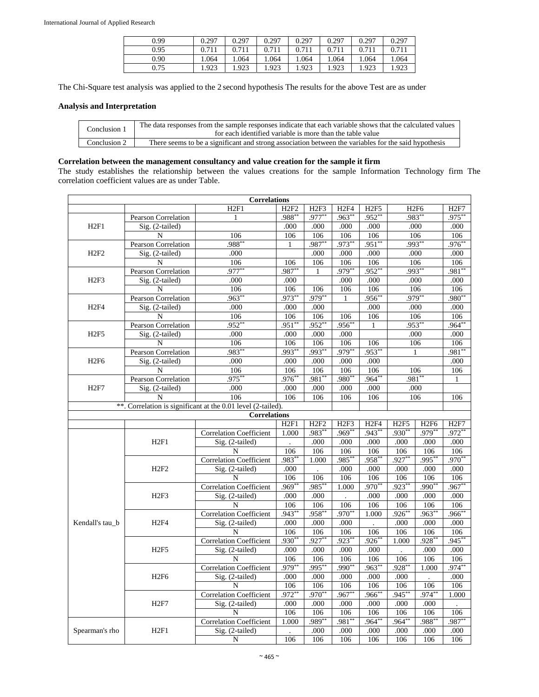| 0.99 | 0.297 | 0.297 | 0.297 | 0.297 | 0.297 | 0.297 | 0.297 |
|------|-------|-------|-------|-------|-------|-------|-------|
| 0.95 | 0.711 | 0.711 | 0.711 | 0.711 | 0.711 | 0.711 | 0.711 |
| 0.90 | .064  | .064  | 1.064 | .064  | 1.064 | 1.064 | 1.064 |
| 0.75 | .923  | .923  | 1.923 | 1.923 | 1.923 | 1.923 | .923  |

The Chi-Square test analysis was applied to the 2 second hypothesis The results for the above Test are as under

# **Analysis and Interpretation**

| Conclusion 1 | The data responses from the sample responses indicate that each variable shows that the calculated values<br>for each identified variable is more than the table value |
|--------------|------------------------------------------------------------------------------------------------------------------------------------------------------------------------|
| Conclusion 2 | There seems to be a significant and strong association between the variables for the said hypothesis                                                                   |

# **Correlation between the management consultancy and value creation for the sample it firm**

The study establishes the relationship between the values creations for the sample Information Technology firm The correlation coefficient values are as under Table.

| <b>Correlations</b>        |                            |                                                              |          |              |              |                  |           |                  |                  |
|----------------------------|----------------------------|--------------------------------------------------------------|----------|--------------|--------------|------------------|-----------|------------------|------------------|
|                            |                            | H2F1                                                         | H2F2     | H2F3         | H2F4         | H <sub>2F5</sub> |           | H <sub>2F6</sub> | H <sub>2F7</sub> |
|                            | Pearson Correlation        | $\mathbf{1}$                                                 | .988*    | $.977**$     | $.963*$      | .952**           | $.983**$  |                  | $.975^{*}$       |
| H2F1                       | Sig. (2-tailed)            |                                                              | .000     | .000         | .000         | .000             |           | .000             | .000             |
|                            | N                          | 106                                                          | 106      | 106          | 106          | 106              | 106       |                  | 106              |
| <b>Pearson Correlation</b> |                            | $.988*$                                                      | 1        | $.987**$     | $.973**$     | $.951**$         |           | $.993**$         | $.976*$          |
| H2F2                       | Sig. (2-tailed)            | .000                                                         |          | .000         | .000         | .000             |           | .000             | .000             |
|                            | N                          | 106                                                          | 106      | 106          | 106          | 106              |           | 106              | 106              |
|                            | <b>Pearson Correlation</b> | $.977*$                                                      | $.987^*$ | $\mathbf{1}$ | $.979*$      | $.952*$          | $.993*$   |                  | .981*            |
| H2F3                       | Sig. (2-tailed)            | .000                                                         | .000     |              | .000         | .000             |           | .000             | .000             |
|                            | N                          | 106                                                          | 106      | 106          | 106          | 106              |           | 106              | 106              |
|                            | <b>Pearson Correlation</b> | $.963*$                                                      | $.973**$ | $.979**$     | $\mathbf{1}$ | $.956*$          | $.979**$  |                  | $.980^{*}$       |
| <b>H2F4</b>                | Sig. (2-tailed)            | .000                                                         | .000     | .000         |              | .000             |           | .000             | .000             |
|                            | N                          | 106                                                          | 106      | 106          | 106          | 106              |           | 106              | 106              |
|                            | <b>Pearson Correlation</b> | $.952**$                                                     | $.951**$ | $.952**$     | $.956*$      | $\mathbf{1}$     | $.953**$  |                  | $.964*$          |
| H2F5                       | Sig. (2-tailed)            | .000                                                         | .000     | .000         | .000         |                  |           | .000             | .000             |
|                            | N                          | 106                                                          | 106      | 106          | 106          | 106              |           | 106              | 106              |
|                            | Pearson Correlation        | $.983*$                                                      | .993*    | .993*        | $.979*$      | $.953*$          |           | $\mathbf{1}$     | .981*            |
| H <sub>2F6</sub>           | Sig. (2-tailed)            | .000                                                         | .000     | .000         | .000         | .000             |           |                  | .000             |
|                            | N                          | 106                                                          | 106      | 106          | 106          | 106              |           | $\overline{106}$ | 106              |
|                            | <b>Pearson Correlation</b> | .975*                                                        | $.976**$ | $.981**$     | .980**       | $.964**$         | $.981**$  |                  | $\mathbf{1}$     |
| H2F7                       | Sig. (2-tailed)            | .000                                                         | .000     | .000         | .000         | .000             | .000      |                  |                  |
|                            | N                          | 106                                                          | 106      | 106          | 106          | 106              | 106       |                  | 106              |
|                            |                            | **. Correlation is significant at the 0.01 level (2-tailed). |          |              |              |                  |           |                  |                  |
|                            |                            | <b>Correlations</b>                                          |          |              |              |                  |           |                  |                  |
|                            |                            |                                                              | H2F1     | H2F2         | H2F3         | H2F4             | H2F5      | H <sub>2F6</sub> | H2F7             |
|                            |                            | <b>Correlation Coefficient</b>                               | 1.000    | $.983**$     | $.969*$      | $.943*$          | $.930**$  | $.979**$         | $.972^{*}$       |
|                            | H2F1                       | Sig. (2-tailed)                                              |          | .000         | .000         | .000             | .000      | .000             | .000             |
|                            |                            | N                                                            | 106      | 106          | 106          | 106              | 106       | 106              | 106              |
|                            |                            | <b>Correlation Coefficient</b>                               | .983**   | 1.000        | .985*        | .958*            | $.927**$  | $.995*$          | $.970**$         |
|                            | H2F2                       | Sig. (2-tailed)                                              | .000     |              | .000         | .000             | .000      | .000             | .000             |
|                            |                            | N                                                            | 106      | 106          | 106          | 106              | 106       | 106              | 106              |
|                            |                            | <b>Correlation Coefficient</b>                               | $.969**$ | $.985***$    | 1.000        | $.970*$          | $.923**$  | $.990*$          | $.967**$         |
|                            | H2F3                       | Sig. (2-tailed)                                              | .000     | .000         |              | .000             | .000      | .000             | .000             |
|                            |                            | N                                                            | 106      | 106          | 106          | 106              | 106       | 106              | 106              |
|                            |                            | <b>Correlation Coefficient</b>                               | $.943*$  | $.958*$      | $.970*$      | 1.000            | $.926*$   | $963*$           | $.966*$          |
| Kendall's tau b            | H2F4                       | Sig. (2-tailed)                                              | .000     | .000         | .000         |                  | .000      | .000             | .000             |
|                            |                            | N                                                            | 106      | 106          | 106          | 106              | 106       | 106              | 106              |
|                            |                            | <b>Correlation Coefficient</b>                               | $.930**$ | $.927**$     | $.923*$      | $.926*$          | 1.000     | $.928*$          | $.945**$         |
|                            | H2F5                       | Sig. (2-tailed)                                              | .000     | .000         | .000         | .000             |           | .000             | .000             |
|                            |                            | N                                                            | 106      | 106          | 106          | 106              | 106       | 106              | 106              |
|                            |                            | <b>Correlation Coefficient</b>                               | $.979**$ | $.995***$    | $.990**$     | $.963*$          | $.928**$  | 1.000            | $.974**$         |
|                            | H <sub>2F6</sub>           | Sig. (2-tailed)                                              | .000     | .000         | .000         | .000             | .000      |                  | .000             |
|                            |                            | N                                                            | 106      | 106          | 106          | 106              | 106       | 106              | 106              |
|                            |                            | <b>Correlation Coefficient</b>                               | $.972**$ | $.970*$      | $.967*$      | $.966*$          | $.945***$ | $974*$           | 1.000            |
|                            | H2F7                       | Sig. (2-tailed)                                              | .000     | .000         | .000         | .000             | .000      | .000             |                  |
|                            |                            | N                                                            | 106      | 106          | 106          | 106              | 106       | 106              | 106              |
|                            |                            | <b>Correlation Coefficient</b>                               | 1.000    | $.989**$     | $.981*$      | $.964*$          | $.964*$   | $.988*$          | $.987**$         |
| Spearman's rho             | H2F1                       | Sig. (2-tailed)                                              |          | .000         | .000         | .000             | .000      | .000             | .000             |
|                            |                            | N                                                            | 106      | 106          | 106          | 106              | 106       | 106              | 106              |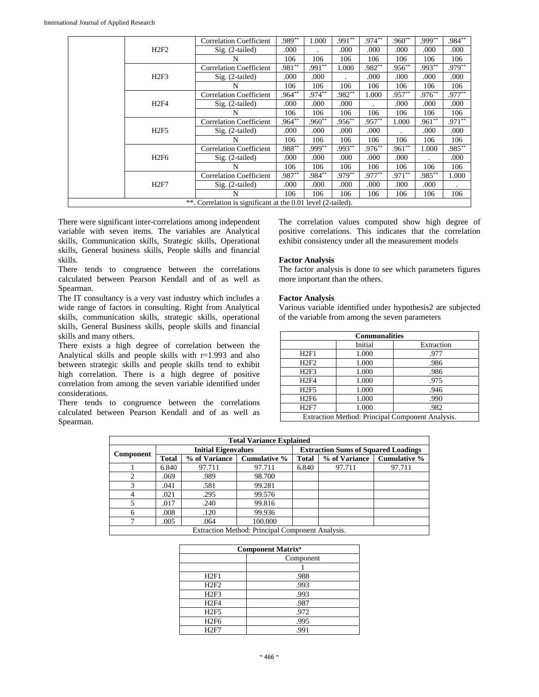|  |                  | <b>Correlation Coefficient</b>                               | $.989**$  | 1.000    | $.991***$ | $.974***$ | $.960**$  | $.999***$ | $.984**$  |
|--|------------------|--------------------------------------------------------------|-----------|----------|-----------|-----------|-----------|-----------|-----------|
|  | H2F2             | $Sig. (2-tailed)$                                            | .000      |          | .000      | .000      | .000      | .000      | .000      |
|  |                  | N                                                            | 106       | 106      | 106       | 106       | 106       | 106       | 106       |
|  |                  | <b>Correlation Coefficient</b>                               | $.981**$  | $.991**$ | 1.000     | $.982**$  | $.956***$ | $.993**$  | $.979**$  |
|  | H2F3             | $Sig. (2-tailed)$                                            | .000      | .000     |           | .000      | .000      | .000      | .000      |
|  |                  | N                                                            | 106       | 106      | 106       | 106       | 106       | 106       | 106       |
|  |                  | <b>Correlation Coefficient</b>                               | $.964**$  | $.974**$ | $.982**$  | 1.000     | $.957**$  | $.976***$ | $.977**$  |
|  | H2F4             | $Sig. (2-tailed)$                                            | .000      | .000     | .000      |           | .000      | .000      | .000      |
|  |                  | N                                                            | 106       | 106      | 106       | 106       | 106       | 106       | 106       |
|  |                  | <b>Correlation Coefficient</b>                               | $.964***$ | $.960**$ | $.956***$ | $.957**$  | 1.000     | $.961**$  | $.971**$  |
|  | H2F5             | $Sig. (2-tailed)$                                            | .000      | .000     | .000      | .000      |           | .000      | .000      |
|  |                  | N                                                            | 106       | 106      | 106       | 106       | 106       | 106       | 106       |
|  |                  | <b>Correlation Coefficient</b>                               | $.988***$ | $.999**$ | $.993**$  | $.976***$ | $.961**$  | 1.000     | $.985***$ |
|  | H <sub>2F6</sub> | $Sig. (2-tailed)$                                            | .000      | .000     | .000      | .000      | .000      |           | .000      |
|  |                  | N                                                            | 106       | 106      | 106       | 106       | 106       | 106       | 106       |
|  |                  | <b>Correlation Coefficient</b>                               | .987**    | $.984**$ | $.979**$  | $.977**$  | $.971***$ | $.985***$ | 1.000     |
|  | H2F7             | $Sig. (2-tailed)$                                            | .000      | .000     | .000      | .000      | .000      | .000      |           |
|  |                  | N                                                            | 106       | 106      | 106       | 106       | 106       | 106       | 106       |
|  |                  | **. Correlation is significant at the 0.01 level (2-tailed). |           |          |           |           |           |           |           |

There were significant inter-correlations among independent variable with seven items. The variables are Analytical skills, Communication skills, Strategic skills, Operational skills, General business skills, People skills and financial skills.

There tends to congruence between the correlations calculated between Pearson Kendall and of as well as Spearman.

The IT consultancy is a very vast industry which includes a wide range of factors in consulting. Right from Analytical skills, communication skills, strategic skills, operational skills, General Business skills, people skills and financial skills and many others.

There exists a high degree of correlation between the Analytical skills and people skills with  $r=1.993$  and also between strategic skills and people skills tend to exhibit high correlation. There is a high degree of positive correlation from among the seven variable identified under considerations.

There tends to congruence between the correlations calculated between Pearson Kendall and of as well as Spearman.

The correlation values computed show high degree of positive correlations. This indicates that the correlation exhibit consistency under all the measurement models

#### **Factor Analysis**

The factor analysis is done to see which parameters figures more important than the others.

#### **Factor Analysis**

Various variable identified under hypothesis2 are subjected of the variable from among the seven parameters

| <b>Communalities</b>                             |         |            |  |  |  |  |  |
|--------------------------------------------------|---------|------------|--|--|--|--|--|
|                                                  | Initial | Extraction |  |  |  |  |  |
| H2F1                                             | 1.000   | .977       |  |  |  |  |  |
| H2F2                                             | 1.000   | .986       |  |  |  |  |  |
| H2F3                                             | 1.000   | .986       |  |  |  |  |  |
| <b>H2F4</b>                                      | 1.000   | .975       |  |  |  |  |  |
| <b>H2F5</b>                                      | 1.000   | .946       |  |  |  |  |  |
| H <sub>2F6</sub>                                 | 1.000   | .990       |  |  |  |  |  |
| <b>H2F7</b>                                      | 1.000   | .982       |  |  |  |  |  |
| Extraction Method: Principal Component Analysis. |         |            |  |  |  |  |  |

| <b>Total Variance Explained</b>                  |                            |               |              |       |                                            |                     |  |  |  |
|--------------------------------------------------|----------------------------|---------------|--------------|-------|--------------------------------------------|---------------------|--|--|--|
|                                                  | <b>Initial Eigenvalues</b> |               |              |       | <b>Extraction Sums of Squared Loadings</b> |                     |  |  |  |
| Component                                        | <b>Total</b>               | % of Variance | Cumulative % | Total | % of Variance                              | <b>Cumulative %</b> |  |  |  |
|                                                  | 6.840                      | 97.711        | 97.711       | 6.840 | 97.711                                     | 97.711              |  |  |  |
|                                                  | .069                       | .989          | 98.700       |       |                                            |                     |  |  |  |
| 3                                                | .041                       | .581          | 99.281       |       |                                            |                     |  |  |  |
|                                                  | .021                       | .295          | 99.576       |       |                                            |                     |  |  |  |
|                                                  | .017                       | .240          | 99.816       |       |                                            |                     |  |  |  |
| 6                                                | .008                       | .120          | 99.936       |       |                                            |                     |  |  |  |
|                                                  | .005                       | .064          | 100.000      |       |                                            |                     |  |  |  |
| Extraction Method: Principal Component Analysis. |                            |               |              |       |                                            |                     |  |  |  |

| <b>Component Matrix<sup>a</sup></b> |      |  |  |  |  |  |
|-------------------------------------|------|--|--|--|--|--|
| Component                           |      |  |  |  |  |  |
|                                     |      |  |  |  |  |  |
| H2F1                                | .988 |  |  |  |  |  |
| H2F2                                | .993 |  |  |  |  |  |
| H2F3                                | .993 |  |  |  |  |  |
| <b>H2F4</b>                         | .987 |  |  |  |  |  |
| H2F5                                | .972 |  |  |  |  |  |
| H <sub>2F6</sub>                    | .995 |  |  |  |  |  |
| H2F7                                | .991 |  |  |  |  |  |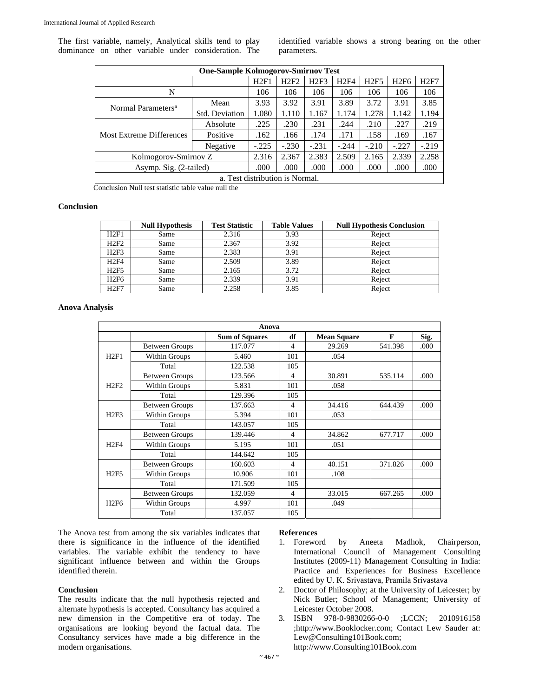The first variable, namely, Analytical skills tend to play dominance on other variable under consideration. The identified variable shows a strong bearing on the other parameters.

| <b>One-Sample Kolmogorov-Smirnov Test</b> |         |               |               |         |         |             |         |  |  |
|-------------------------------------------|---------|---------------|---------------|---------|---------|-------------|---------|--|--|
|                                           | H2F1    | H2F2          | H2F3          | H2F4    | H2F5    | <b>H2F6</b> | H2F7    |  |  |
|                                           | 106     | 106           | 106           | 106     | 106     | 106         | 106     |  |  |
| Mean                                      | 3.93    | 3.92          | 3.91          | 3.89    | 3.72    | 3.91        | 3.85    |  |  |
| Std. Deviation                            | 1.080   | 1.110         | 1.167         | 1.174   | 1.278   | 1.142       | 1.194   |  |  |
| Absolute                                  | .225    | .230          | .231          | .244    | .210    | .227        | .219    |  |  |
| Positive                                  | .162    | .166          | .174          | .171    | .158    | .169        | .167    |  |  |
| Negative                                  | $-.225$ | $-.230$       | $-.231$       | $-.244$ | $-.210$ | $-.227$     | $-.219$ |  |  |
| Kolmogorov-Smirnov Z                      |         |               | 2.383         | 2.509   | 2.165   | 2.339       | 2.258   |  |  |
| Asymp. Sig. (2-tailed)                    |         |               | .000          | .000    | .000    | .000        | .000    |  |  |
| a. Test distribution is Normal.           |         |               |               |         |         |             |         |  |  |
|                                           | .       | 2.316<br>.000 | 2.367<br>.000 |         |         |             |         |  |  |

Conclusion Null test statistic table value null the

#### **Conclusion**

|                  | <b>Null Hypothesis</b> | <b>Test Statistic</b> | <b>Table Values</b> | <b>Null Hypothesis Conclusion</b> |
|------------------|------------------------|-----------------------|---------------------|-----------------------------------|
| H2F1             | Same                   | 2.316                 | 3.93                | Reject                            |
| H2F2             | Same                   | 2.367                 | 3.92                | Reject                            |
| H2F3             | Same                   | 2.383                 | 3.91                | Reject                            |
| H <sub>2F4</sub> | Same                   | 2.509                 | 3.89                | Reject                            |
| H2F5             | Same                   | 2.165                 | 3.72                | Reject                            |
| H <sub>2F6</sub> | Same                   | 2.339                 | 3.91                | Reject                            |
| H2F7             | Same                   | 2.258                 | 3.85                | Reject                            |

### **Anova Analysis**

| Anova |                       |                       |                |                    |         |      |
|-------|-----------------------|-----------------------|----------------|--------------------|---------|------|
|       |                       | <b>Sum of Squares</b> | df             | <b>Mean Square</b> | F       | Sig. |
| H2F1  | <b>Between Groups</b> | 117.077               | 4              | 29.269             | 541.398 | .000 |
|       | Within Groups         | 5.460                 | 101            | .054               |         |      |
|       | Total                 | 122.538               | 105            |                    |         |      |
| H2F2  | <b>Between Groups</b> | 123.566               | 4              | 30.891             | 535.114 | .000 |
|       | Within Groups         | 5.831                 | 101            | .058               |         |      |
|       | Total                 | 129.396               | 105            |                    |         |      |
| H2F3  | <b>Between Groups</b> | 137.663               | $\overline{4}$ | 34.416             | 644.439 | .000 |
|       | Within Groups         | 5.394                 | 101            | .053               |         |      |
|       | Total                 | 143.057               | 105            |                    |         |      |
| H2F4  | <b>Between Groups</b> | 139.446               | 4              | 34.862             | 677.717 | .000 |
|       | Within Groups         | 5.195                 | 101            | .051               |         |      |
|       | Total                 | 144.642               | 105            |                    |         |      |
| H2F5  | <b>Between Groups</b> | 160.603               | $\overline{4}$ | 40.151             | 371.826 | .000 |
|       | Within Groups         | 10.906                | 101            | .108               |         |      |
|       | Total                 | 171.509               | 105            |                    |         |      |
| H2F6  | <b>Between Groups</b> | 132.059               | 4              | 33.015             | 667.265 | .000 |
|       | Within Groups         | 4.997                 | 101            | .049               |         |      |
|       | Total                 | 137.057               | 105            |                    |         |      |

The Anova test from among the six variables indicates that there is significance in the influence of the identified variables. The variable exhibit the tendency to have significant influence between and within the Groups identified therein.

#### **Conclusion**

The results indicate that the null hypothesis rejected and alternate hypothesis is accepted. Consultancy has acquired a new dimension in the Competitive era of today. The organisations are looking beyond the factual data. The Consultancy services have made a big difference in the modern organisations.

## **References**

- 1. Foreword by Aneeta Madhok, Chairperson, International Council of Management Consulting Institutes (2009-11) Management Consulting in India: Practice and Experiences for Business Excellence edited by U. K. Srivastava, Pramila Srivastava
- 2. Doctor of Philosophy; at the University of Leicester; by Nick Butler; School of Management; University of Leicester October 2008.
- 3. ISBN 978-0-9830266-0-0 ;LCCN; 2010916158 ;http://www.Booklocker.com; Contact Lew Sauder at: Lew@Consulting101Book.com; http://www.Consulting101Book.com